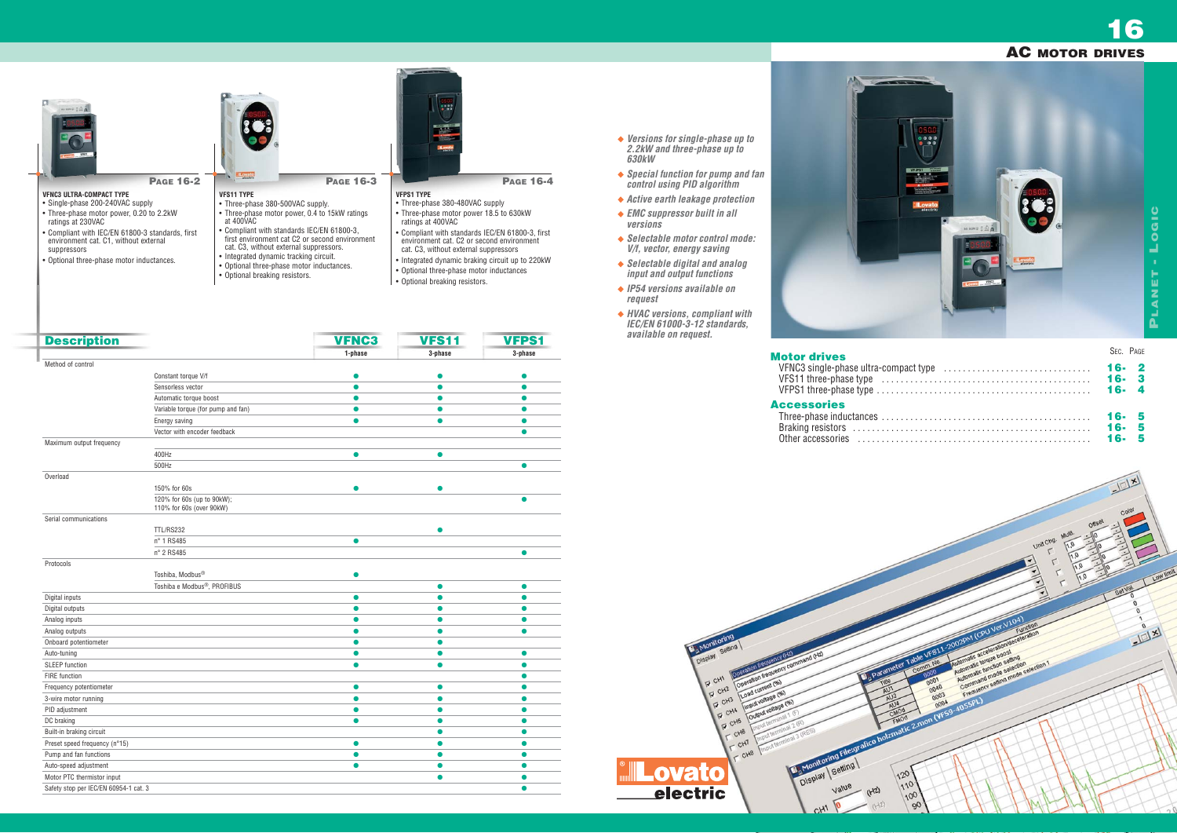- *Versions for single-phase up to 2.2kW and three-phase up to 630kW*
- *Special function for pump and fan control using PID algorithm*
- *Active earth leakage protection*
- *EMC suppressor built in all versions*
- *Selectable motor control mode: V/f, vector, energy saving*
- *Selectable digital and analog input and output functions*
- *IP54 versions available on request*
- *HVAC versions, compliant with IEC/EN 61000-3-12 standards, available on request.*



VFNC3 single-phase ultra-com VFS11 three-phase type . . . . . . . . . . . . . . . . . . . . . . . . . . . . . . . . . . . . . . . . . . . . **16- 3** VFPS1 three-phase type . . . . . . . . . . . . . . . . . . . . . . . . . . . . . . . . . . . . . . . . . . . . . **16- 4**

### **Motor drives**

| <b>lotor drives</b>                                                                                                   | SEC. PAGE |  |
|-----------------------------------------------------------------------------------------------------------------------|-----------|--|
|                                                                                                                       |           |  |
| <b>ccessories</b><br>Three-phase inductances $\dots\dots\dots\dots\dots\dots\dots\dots\dots\dots\dots\dots\dots\dots$ |           |  |

|                                                              |                                                                                                                       |                     |                                                                                                         | $=$ $\sqrt{2}$<br>Color      |            |
|--------------------------------------------------------------|-----------------------------------------------------------------------------------------------------------------------|---------------------|---------------------------------------------------------------------------------------------------------|------------------------------|------------|
|                                                              |                                                                                                                       | Unit Chg.<br>٢<br>٢ | Offset<br><b>Multi.</b><br>70<br>10<br>$\sqrt[n]{\theta}$<br>۰<br>1,0<br>$\sqrt[3]{\mathfrak o}$<br>1.0 | 10                           |            |
|                                                              |                                                                                                                       |                     | $\mathbf{r}$<br>(1,0)<br>٢                                                                              | Set Val.<br>o<br>o<br>o<br>٨ | Low limit. |
| Refer Table VFS11-2002PM (CPU Ver V104)<br>Comm. No.<br>0000 | Automalic acceleration/deceleration<br>Automatic torque boost<br>Automatic function setting<br>Command mode selection | Function            |                                                                                                         | $\theta$<br>$H_1$            |            |
| 0001<br>0040<br>٨<br>0003<br>迈<br>matic 2.mon (YFS9-4055PL)  | Frequency setting mode selection 1                                                                                    |                     |                                                                                                         |                              |            |
| 120                                                          |                                                                                                                       |                     |                                                                                                         |                              |            |
| 110<br>100<br>90                                             |                                                                                                                       |                     |                                                                                                         |                              | 20         |

### **Accessories**

| Three-phase inductances          |
|----------------------------------|
| Braking resistors                |
| Other accessories<br>and a state |

- **PAGE 16-4**
- 
- environment cat. C2 or second environment
- Integrated dynamic braking circuit up to 220kW
- Optional three-phase motor inductances
- **Optional breaking resistors.**

| <b>Description</b>                    |                                                        | <b>VFNC3</b> | <b>VFS11</b> | <b>VFPS1</b> |
|---------------------------------------|--------------------------------------------------------|--------------|--------------|--------------|
|                                       |                                                        | 1-phase      | 3-phase      | 3-phase      |
| Method of control                     |                                                        |              |              |              |
|                                       | Constant torque V/f                                    |              |              |              |
|                                       | Sensorless vector                                      | ●            | ●            | ●            |
|                                       | Automatic torque boost                                 | $\bullet$    | $\bullet$    |              |
|                                       | Variable torque (for pump and fan)                     |              |              |              |
|                                       | Energy saving                                          | $\bullet$    | $\bullet$    | $\bullet$    |
|                                       | Vector with encoder feedback                           |              |              | $\bullet$    |
| Maximum output frequency              |                                                        |              |              |              |
|                                       | 400Hz                                                  | $\bullet$    | $\bullet$    |              |
|                                       | 500Hz                                                  |              |              |              |
| Overload                              |                                                        |              |              |              |
|                                       | 150% for 60s                                           |              |              |              |
|                                       | 120% for 60s (up to 90kW);<br>110% for 60s (over 90kW) |              |              |              |
| Serial communications                 |                                                        |              |              |              |
|                                       | <b>TTL/RS232</b>                                       |              |              |              |
|                                       | n° 1 RS485                                             | $\bullet$    |              |              |
|                                       | n° 2 RS485                                             |              |              | ●            |
| Protocols                             |                                                        |              |              |              |
|                                       | Toshiba, Modbus®                                       | ●            |              |              |
|                                       | Toshiba e Modbus <sup>®</sup> , PROFIBUS               |              | $\bullet$    | $\bullet$    |
| Digital inputs                        |                                                        | $\bullet$    | 0            | ●            |
| Digital outputs                       |                                                        |              |              |              |
| Analog inputs                         |                                                        | Ο            | Δ            |              |
| Analog outputs                        |                                                        | $\bullet$    | $\bullet$    | $\bullet$    |
| Onboard potentiometer                 |                                                        | $\bullet$    | $\bullet$    |              |
| Auto-tuning                           |                                                        | $\bullet$    | O            |              |
| <b>SLEEP</b> function                 |                                                        | $\bullet$    | $\bullet$    | ●            |
| <b>FIRE</b> function                  |                                                        |              |              | ▲            |
| Frequency potentiometer               |                                                        | $\bullet$    | $\bullet$    |              |
| 3-wire motor running                  |                                                        | $\bullet$    | $\bullet$    |              |
| PID adjustment                        |                                                        | $\bullet$    | $\bullet$    | ●            |
| DC braking                            |                                                        | $\bullet$    |              |              |
| Built-in braking circuit              |                                                        |              |              |              |
| Preset speed frequency (n°15)         |                                                        | $\bullet$    | $\bullet$    | ●            |
| Pump and fan functions                |                                                        | $\bullet$    | $\bullet$    | $\bullet$    |
| Auto-speed adjustment                 |                                                        | $\bullet$    | $\bullet$    | $\bullet$    |
| Motor PTC thermistor input            |                                                        |              |              |              |
| Safety stop per IEC/EN 60954-1 cat. 3 |                                                        |              |              | ▲            |



• Optional breaking resistors.

| <b>PAGE 16-2</b>                                                                                                                                      | Lovato<br><b>PAGE 16-3</b>                                                                                                                                                       | $-0.0$<br>Lovato<br><b>PAGE 16-4</b>                                                                                                                                                                    |
|-------------------------------------------------------------------------------------------------------------------------------------------------------|----------------------------------------------------------------------------------------------------------------------------------------------------------------------------------|---------------------------------------------------------------------------------------------------------------------------------------------------------------------------------------------------------|
| <b>VENC3 ULTRA-COMPACT TYPE</b>                                                                                                                       | <b>VFS11 TYPE</b>                                                                                                                                                                | <b>VFPS1 TYPE</b>                                                                                                                                                                                       |
| • Single-phase 200-240VAC supply                                                                                                                      | • Three-phase 380-500VAC supply.                                                                                                                                                 | • Three-phase 380-480VAC supply                                                                                                                                                                         |
| • Three-phase motor power, 0.20 to 2.2kW<br>ratings at 230VAC                                                                                         | • Three-phase motor power, 0.4 to 15kW ratings<br>at 400VAC                                                                                                                      | • Three-phase motor power 18.5 to 630kW<br>ratings at 400VAC                                                                                                                                            |
| • Compliant with IEC/EN 61800-3 standards, first<br>environment cat. C1, without external<br>suppressors<br>• Optional three-phase motor inductances. | • Compliant with standards IEC/EN 61800-3,<br>first environment cat C2 or second environment<br>cat. C3, without external suppressors.<br>• Integrated dynamic tracking circuit. | • Compliant with standards IEC/EN 61800-3, first<br>environment cat. C2 or second environment<br>cat. C <sub>3</sub> , without external suppressors<br>• Integrated dynamic braking circuit up to 220kW |
|                                                                                                                                                       | • Optional three-phase motor inductances.                                                                                                                                        | Ontianal three phase mater industances                                                                                                                                                                  |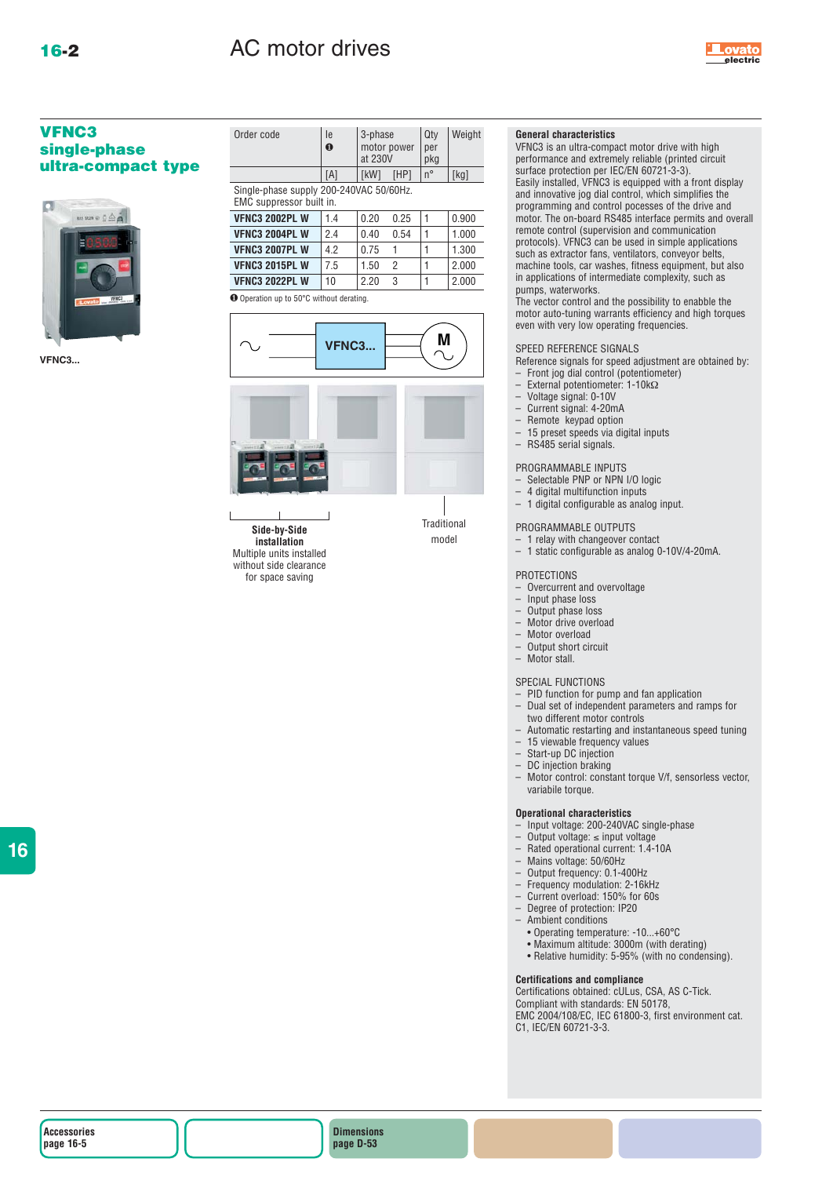

### **VFNC3 single-phase ultra-compact type**



**VFNC3...**

| Order code                                                          | le<br>0 | 3-phase<br>at 230V | motor power | Qty<br>per<br>pkg | Weight |  |
|---------------------------------------------------------------------|---------|--------------------|-------------|-------------------|--------|--|
|                                                                     | [A]     | [kW]               | [HP]        | $n^{\circ}$       | [kg]   |  |
| Single-phase supply 200-240VAC 50/60Hz.<br>EMC suppressor built in. |         |                    |             |                   |        |  |
| <b>VFNC3 2002PL W</b>                                               | 1.4     | 0.20               | 0.25        | 1                 | 0.900  |  |
| <b>VFNC3 2004PL W</b>                                               | 2.4     | 0.40               | 0.54        | 1                 | 1.000  |  |
| <b>VFNC3 2007PL W</b>                                               | 4.2     | 0.75               | 1           |                   | 1.300  |  |
| <b>VFNC3 2015PL W</b>                                               | 7.5     | 1.50               | 2           |                   | 2.000  |  |
| <b>VFNC3 2022PL W</b>                                               | 10      | 2.20               | 3           |                   | 2.000  |  |
| <b>O</b> Operation up to 50°C without derating.                     |         |                    |             |                   |        |  |
| .                                                                   |         |                    |             |                   |        |  |



**installation** Multiple units installed without side clearance for space saving

### **General characteristics**

VFNC3 is an ultra-compact motor drive with high performance and extremely reliable (printed circuit surface protection per IEC/EN 60721-3-3). Easily installed, VFNC3 is equipped with a front display and innovative jog dial control, which simplifies the programming and control pocesses of the drive and motor. The on-board RS485 interface permits and overall remote control (supervision and communication protocols). VFNC3 can be used in simple applications such as extractor fans, ventilators, conveyor belts, machine tools, car washes, fitness equipment, but also in applications of intermediate complexity, such as pumps, waterworks.

The vector control and the possibility to enabble the motor auto-tuning warrants efficiency and high torques even with very low operating frequencies.

#### SPEED REFERENCE SIGNALS

- Reference signals for speed adjustment are obtained by:
- Front jog dial control (potentiometer) – External potentiometer: 1-10kΩ
- 
- Voltage signal: 0-10V
- Current signal: 4-20mA
- Remote keypad option<br>– 15 preset speeds via die – 15 preset speeds via digital inputs
- RS485 serial signals.

### PROGRAMMABLE INPUTS

- Selectable PNP or NPN I/O logic<br>– 4 digital multifunction inputs
- 4 digital multifunction inputs
- 1 digital configurable as analog input.

#### PROGRAMMABLE OUTPUTS

- 1 relay with changeover contact
- 1 static configurable as analog 0-10V/4-20mA.

#### PROTECTIONS

- Overcurrent and overvoltage<br>– Input phase loss
- $-$  Input phase loss<br> $-$  Output phase los
- $-$  Output phase loss<br> $-$  Motor drive overlo
- Motor drive overload
- $-$  Motor overload<br> $-$  Output short circle
- Output short circuit Motor stall.

SPECIAL FUNCTIONS

- PID function for pump and fan application – Dual set of independent parameters and ramps for two different motor controls
- Automatic restarting and instantaneous speed tuning
- 15 viewable frequency values
- Start-up DC injection
- DC injection braking
- Motor control: constant torque V/f, sensorless vector, variabile torque.

#### **Operational characteristics**

- Input voltage: 200-240VAC single-phase
- 
- Output voltage: ≤ input voltage Rated operational current: 1.4-10A
- Mains voltage: 50/60Hz
- Output frequency: 0.1-400Hz
- Frequency modulation: 2-16kHz
- Current overload: 150% for 60s
- Degree of protection: IP20
- Ambient conditions
- Operating temperature: -10...+60°C
- Maximum altitude: 3000m (with derating)
- Relative humidity: 5-95% (with no condensing).

#### **Certifications and compliance**

Certifications obtained: cULus, CSA, AS C-Tick. Compliant with standards: EN 50178, EMC 2004/108/EC, IEC 61800-3, first environment cat. C1, IEC/EN 60721-3-3.

**16**

**Dimensions page D-53**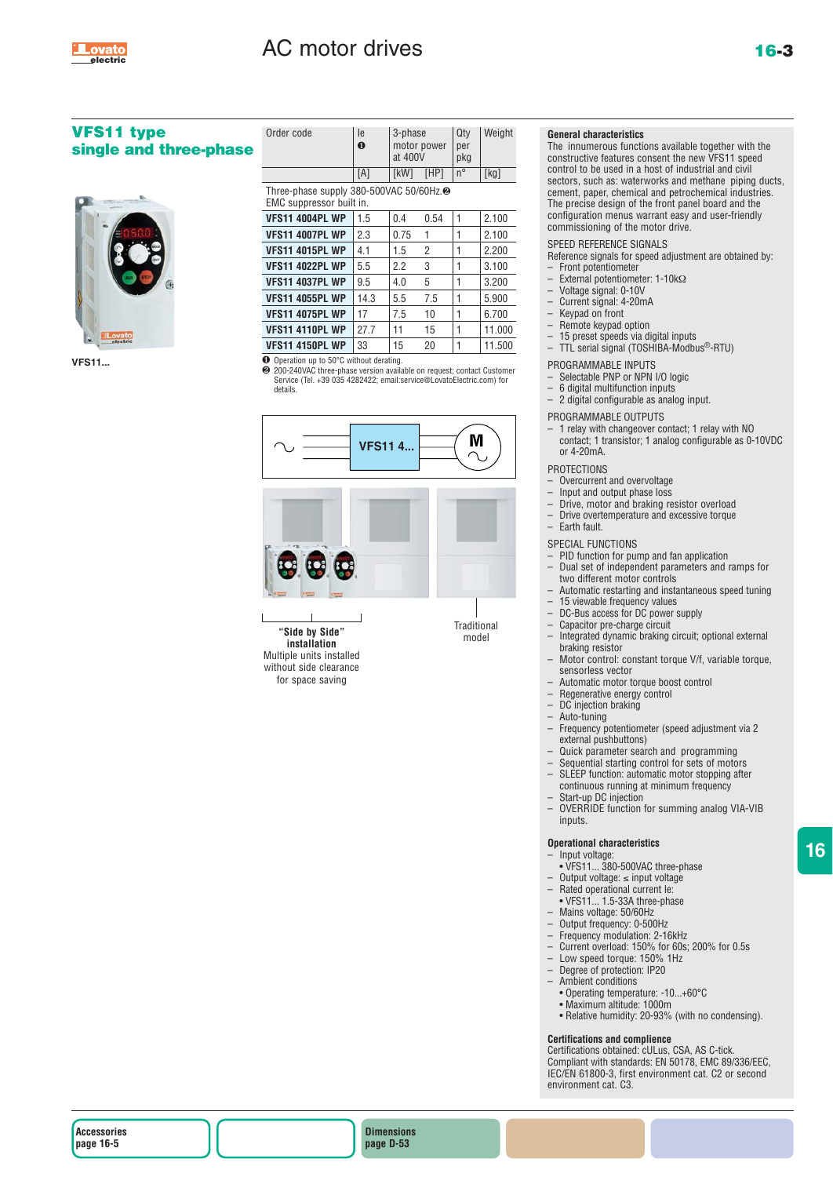

# AC motor drives **16-3**

### **VFS11 type**  single and three-phas



**VFS11...**

| е | Order code                                                                      | le<br>$\bf{0}$ | 3-phase<br>motor power<br>at 400V |                | Qty<br>per<br>pkg | Weight |  |
|---|---------------------------------------------------------------------------------|----------------|-----------------------------------|----------------|-------------------|--------|--|
|   |                                                                                 | [A]            | [kW]                              | [HP]           | $n^{\circ}$       | [kg]   |  |
|   | Three-phase supply 380-500VAC 50/60Hz. <sup>2</sup><br>EMC suppressor built in. |                |                                   |                |                   |        |  |
|   | <b>VFS11 4004PL WP</b>                                                          | 1.5            | 0.4                               | 0.54           | 1                 | 2.100  |  |
|   | <b>VFS11 4007PL WP</b>                                                          | 2.3            | 0.75                              | 1              | 1                 | 2.100  |  |
|   | <b>VFS11 4015PL WP</b>                                                          | 4.1            | 1.5                               | $\overline{2}$ | 1                 | 2.200  |  |
|   | <b>VFS11 4022PL WP</b>                                                          | 5.5            | 2.2                               | 3              | 1                 | 3.100  |  |
|   | <b>VFS11 4037PL WP</b>                                                          | 9.5            | 4.0                               | 5              | 1                 | 3.200  |  |
|   | <b>VFS11 4055PL WP</b>                                                          | 14.3           | 5.5                               | 7.5            | 1                 | 5.900  |  |
|   | <b>VFS11 4075PL WP</b>                                                          | 17             | 7.5                               | 10             | 1                 | 6.700  |  |
|   | <b>VFS11 4110PL WP</b>                                                          | 27.7           | 11                                | 15             | 1                 | 11.000 |  |
|   | <b>VFS11 4150PL WP</b>                                                          | 33             | 15                                | 20             | 1                 | 11.500 |  |
|   |                                                                                 |                |                                   |                |                   |        |  |

❶ Operation up to 50°C without derating. ❷ 200-240VAC three-phase version available on request; contact Customer Service (Tel. +39 035 4282422; email:service@LovatoElectric.com) for details.



**installation** Multiple units installed without side clearance for space saving

#### **General characteristics**

The innumerous functions available together with the constructive features consent the new VFS11 speed control to be used in a host of industrial and civil sectors, such as: waterworks and methane piping ducts, cement, paper, chemical and petrochemical industries. The precise design of the front panel board and the configuration menus warrant easy and user-friendly commissioning of the motor drive.

#### SPEED REFERENCE SIGNALS

Reference signals for speed adjustment are obtained by:

- Front potentiometer – External potentiometer: 1-10kΩ
- Voltage signal: 0-10V
- 
- Current signal: 4-20mA
- $-$  Keypad on front<br> $-$  Remote keypad
- $-$  Remote keypad option<br> $-$  15 preset speeds via di  $-15$  preset speeds via digital inputs<br> $-TT$  serial signal (TOSHIBA-Modbu
- TTL serial signal (TOSHIBA-Modbus®-RTU)
- PROGRAMMABLE INPUTS
- Selectable PNP or NPN I/O logic
- 6 digital multifunction inputs
- 2 digital configurable as analog input.
- PROGRAMMABLE OUTPUTS
- 1 relay with changeover contact; 1 relay with NO contact; 1 transistor; 1 analog configurable as 0-10VDC or  $4-20mA$

#### **PROTECTIONS**

- $-$  Overcurrent and overvoltage<br> $-$  lnput and output phase loss
- 
- $-$  Input and output phase loss<br> $-$  Drive motor and braking re – Drive, motor and braking resistor overload
- Drive overtemperature and excessive torque
- Earth fault.

#### SPECIAL FUNCTIONS

- $-$  PID function for pump and fan application<br> $-$  Dual set of independent parameters and
- Dual set of independent parameters and ramps for two different motor controls
- Automatic restarting and instantaneous speed tuning<br>– 15 yiewable frequency values
- $-15$  viewable frequency values<br> $-DC$ -Bus access for DC powers
- DC-Bus access for DC power supply
- Capacitor pre-charge circuit
- Integrated dynamic braking circuit; optional external braking resistor
- Motor control: constant torque V/f, variable torque, sensorless vector
- Automatic motor torque boost control
- Regenerative energy control<br>– DC injection braking
- $-$  DC injection braking<br> $-$  Auto-tuning
- Auto-tuning
- Frequency potentiometer (speed adjustment via 2 external pushbuttons)
- Quick parameter search and programming
- Sequential starting control for sets of motors
- SLEEP function: automatic motor stopping after
- continuous running at minimum frequency
- Start-up DC injection<br>– OVERRIDE function
- OVERRIDE function for summing analog VIA-VIB inputs.

#### **Operational characteristics**

- Input voltage: • VFS11... 380-500VAC three-phase
- 
- Output voltage: ≤ input voltage – Rated operational current Ie:
- VFS11... 1.5-33A three-phase
- Mains voltage: 50/60Hz
- Output frequency: 0-500Hz
- Frequency modulation: 2-16kHz
- Current overload: 150% for 60s; 200% for 0.5s
- Low speed torque: 150% 1Hz
- Degree of protection: IP20
- Ambient conditions
- Operating temperature: -10...+60°C
- Maximum altitude: 1000m
- Relative humidity: 20-93% (with no condensing).

#### **Certifications and complience**

Certifications obtained: cULus, CSA, AS C-tick. Compliant with standards: EN 50178, EMC 89/336/EEC, IEC/EN 61800-3, first environment cat. C2 or second environment cat. C3.

**Accessories page 16-5**

**Dimensions page D-53**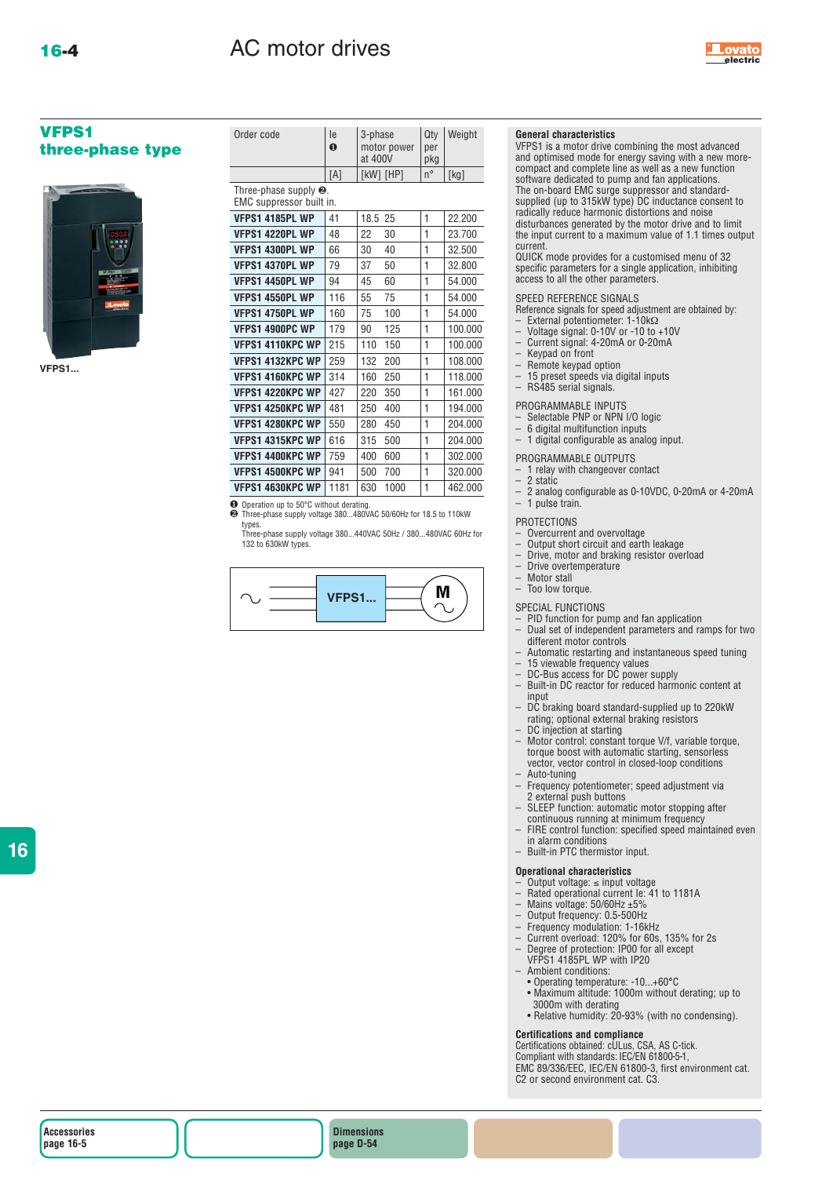

### **VFPS1 three-phase type**



**VFPS1...**

| Order code                                                | le<br>$\mathbf 0$ | 3-phase<br>at 400V | motor power   | Qty<br>per<br>pkg | Weight  |
|-----------------------------------------------------------|-------------------|--------------------|---------------|-------------------|---------|
|                                                           | [A]               |                    | $[KW]$ $[HP]$ | $n^{\circ}$       | [kg]    |
| Three-phase supply $\Theta$ .<br>EMC suppressor built in. |                   |                    |               |                   |         |
| <b>VFPS1 4185PL WP</b>                                    | 41                | 18.5               | 25            | $\mathbf{1}$      | 22.200  |
| VFPS1 4220PL WP                                           | 48                | 22                 | 30            | 1                 | 23.700  |
| VFPS1 4300PL WP                                           | 66                | 30                 | 40            | 1                 | 32.500  |
| VFPS1 4370PL WP                                           | 79                | 37                 | 50            | 1                 | 32.800  |
| VFPS1 4450PL WP                                           | 94                | 45                 | 60            | 1                 | 54.000  |
| VFPS1 4550PL WP                                           | 116               | 55                 | 75            | 1                 | 54.000  |
| VFPS1 4750PL WP                                           | 160               | 75                 | 100           | 1                 | 54.000  |
| <b>VFPS1 4900PC WP</b>                                    | 179               | 90                 | 125           | 1                 | 100.000 |
| <b>VFPS1 4110KPC WP</b>                                   | 215               | 110                | 150           | 1                 | 100.000 |
| <b>VFPS1 4132KPC WP</b>                                   | 259               | 132                | 200           | 1                 | 108.000 |
| <b>VFPS1 4160KPC WP</b>                                   | 314               | 160                | 250           | 1                 | 118.000 |
| <b>VFPS1 4220KPC WP</b>                                   | 427               | 220                | 350           | 1                 | 161.000 |
| VFPS1 4250KPC WP                                          | 481               | 250                | 400           | $\mathbf{1}$      | 194.000 |
| <b>VFPS1 4280KPC WP</b>                                   | 550               | 280                | 450           | $\mathbf{1}$      | 204.000 |
| VFPS1 4315KPC WP                                          | 616               | 315                | 500           | 1                 | 204.000 |
| <b>VFPS1 4400KPC WP</b>                                   | 759               | 400                | 600           | 1                 | 302.000 |
| <b>VFPS1 4500KPC WP</b>                                   | 941               | 500                | 700           | 1                 | 320.000 |
| <b>VFPS1 4630KPC WP</b>                                   | 1181              | 630                | 1000          | 1                 | 462.000 |

❶ Operation up to 50°C without derating. ❷ Three-phase supply voltage 380...480VAC 50/60Hz for 18.5 to 110kW

types. Three-phase supply voltage 380...440VAC 50Hz / 380...480VAC 60Hz for

132 to 630kW types.



#### **General characteristics**

VFPS1 is a motor drive combining the most advanced and optimised mode for energy saving with a new morecompact and complete line as well as a new function software dedicated to pump and fan applications.<br>The on-board EMC surge suppressor and standard-<br>supplied (up to 315kW type) DC inductance consent to<br>radically reduce harmonic distortions and noise disturbances generated by the motor drive and to limit the input current to a maximum value of 1.1 times output current.

QUICK mode provides for a customised menu of 32 specific parameters for a single application, inhibiting access to all the other parameters.

#### SPEED REFERENCE SIGNALS

- Reference signals for speed adjustment are obtained by:
- External potentiometer: 1-10kΩ
- Voltage signal: 0-10V or -10 to +10V Current signal: 4-20mA or 0-20mA
- Keypad on front
- Remote keypad option
- $-15$  preset speeds via digital inputs<br> $-RS485$  serial sinnals
- RS485 serial signals.

### PROGRAMMABLE INPUTS

- 
- Selectable PNP or NPN I/O logic 6 digital multifunction inputs
- 1 digital configurable as analog input.

### PROGRAMMABLE OUTPUTS

- $-$  1 relay with changeover contact<br> $-$  2 static
- 
- $-2$  static<br> $-2$  analo – 2 analog configurable as 0-10VDC, 0-20mA or 4-20mA – 1 pulse train.

#### PROTECTIONS

- Overcurrent and overvoltage
- Output short circuit and earth leakage
- $-$  Drive, motor and braking resistor overload<br> $-$  Drive overtemperature
- Drive overtemperature
- Motor stall

## Too low torque.

- SPECIAL FUNCTIONS<br>- PID function for pu<br>- Dual set of indeper
- PID function for pump and fan application
- Dual set of independent parameters and ramps for two
- different motor controls Automatic restarting and instantaneous speed tuning – 15 viewable frequency values
- 
- DC-Bus access for DC power supply Built-in DC reactor for reduced harmonic content at
- input DC braking board standard-supplied up to 220kW rating; optional external braking resistors
	- DC injection at starting
- Motor control: constant torque V/f, variable torque, torque boost with automatic starting, sensorless vector, vector control in closed-loop conditions
- Auto-tuning
- Frequency potentiometer; speed adjustment via 2 external push buttons
- SLEEP function: automatic motor stopping after continuous running at minimum frequency
- FIRE control function: specified speed maintained even in alarm conditions Built-in PTC thermistor input.
- 
- 

### **Operational characteristics**

- Output voltage: ≤ input voltage Rated operational current Ie: 41 to 1181A
- 
- Mains voltage: 50/60Hz ±5%
- 
- Output frequency: 0.5-500Hz Frequency modulation: 1-16kHz Current overload: 120% for 60s, 135% for 2s
- Degree of protection: IP00 for all except
- VFPS1 4185PL WP with IP20
- 
- Ambient conditions: Operating temperature: -10...+60°C Maximum altitude: 1000m without derating; up to
- 3000m with derating
- Relative humidity: 20-93% (with no condensing).

### **Certifications and compliance**

Certifications obtained: cULus, CSA, AS C-tick. Compliant with standards: IEC/EN 61800-5-1, EMC 89/336/EEC, IEC/EN 61800-3, first environment cat. C2 or second environment cat. C3.

**16**

**Dimensions page D-54**